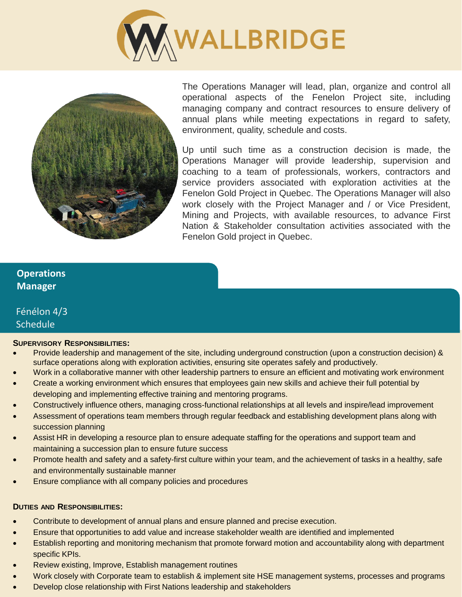



The Operations Manager will lead, plan, organize and control all operational aspects of the Fenelon Project site, including managing company and contract resources to ensure delivery of annual plans while meeting expectations in regard to safety, environment, quality, schedule and costs.

Up until such time as a construction decision is made, the Operations Manager will provide leadership, supervision and coaching to a team of professionals, workers, contractors and service providers associated with exploration activities at the Fenelon Gold Project in Quebec. The Operations Manager will also work closely with the Project Manager and / or Vice President, Mining and Projects, with available resources, to advance First Nation & Stakeholder consultation activities associated with the Fenelon Gold project in Quebec.

## **Operations Manager**

# Fénélon 4/3 **Schedule**

## **SUPERVISORY RESPONSIBILITIES:**

- Provide leadership and management of the site, including underground construction (upon a construction decision) & surface operations along with exploration activities, ensuring site operates safely and productively.
- Work in a collaborative manner with other leadership partners to ensure an efficient and motivating work environment
- Create a working environment which ensures that employees gain new skills and achieve their full potential by developing and implementing effective training and mentoring programs.
- Constructively influence others, managing cross-functional relationships at all levels and inspire/lead improvement
- Assessment of operations team members through regular feedback and establishing development plans along with succession planning
- Assist HR in developing a resource plan to ensure adequate staffing for the operations and support team and maintaining a succession plan to ensure future success
- Promote health and safety and a safety-first culture within your team, and the achievement of tasks in a healthy, safe and environmentally sustainable manner
- Ensure compliance with all company policies and procedures

## **DUTIES AND RESPONSIBILITIES:**

- Contribute to development of annual plans and ensure planned and precise execution.
- Ensure that opportunities to add value and increase stakeholder wealth are identified and implemented
- Establish reporting and monitoring mechanism that promote forward motion and accountability along with department specific KPIs.
- Review existing, Improve, Establish management routines
- Work closely with Corporate team to establish & implement site HSE management systems, processes and programs
- Develop close relationship with First Nations leadership and stakeholders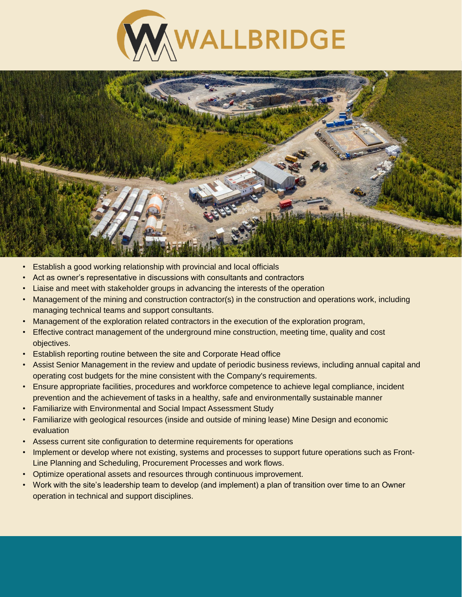



- Establish a good working relationship with provincial and local officials
- Act as owner's representative in discussions with consultants and contractors
- Liaise and meet with stakeholder groups in advancing the interests of the operation
- Management of the mining and construction contractor(s) in the construction and operations work, including managing technical teams and support consultants.
- Management of the exploration related contractors in the execution of the exploration program,
- Effective contract management of the underground mine construction, meeting time, quality and cost objectives.
- Establish reporting routine between the site and Corporate Head office
- Assist Senior Management in the review and update of periodic business reviews, including annual capital and operating cost budgets for the mine consistent with the Company's requirements.
- Ensure appropriate facilities, procedures and workforce competence to achieve legal compliance, incident prevention and the achievement of tasks in a healthy, safe and environmentally sustainable manner
- Familiarize with Environmental and Social Impact Assessment Study
- Familiarize with geological resources (inside and outside of mining lease) Mine Design and economic evaluation
- Assess current site configuration to determine requirements for operations
- Implement or develop where not existing, systems and processes to support future operations such as Front-Line Planning and Scheduling, Procurement Processes and work flows.
- Optimize operational assets and resources through continuous improvement.
- Work with the site's leadership team to develop (and implement) a plan of transition over time to an Owner operation in technical and support disciplines.